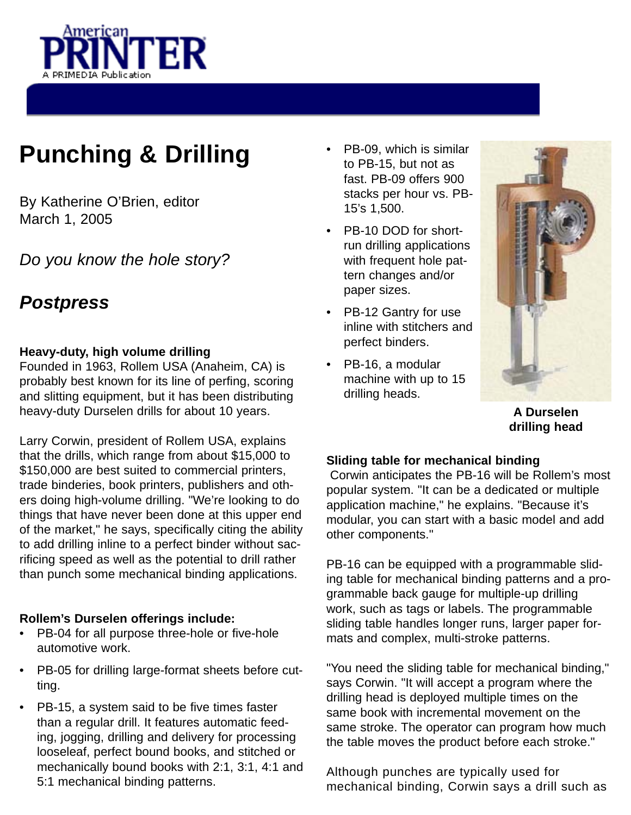

# **Punching & Drilling**

By Katherine O'Brien, editor March 1, 2005

Do you know the hole story?

# **Postpress**

# **Heavy-duty, high volume drilling**

Founded in 1963, Rollem USA (Anaheim, CA) is probably best known for its line of perfing, scoring and slitting equipment, but it has been distributing heavy-duty Durselen drills for about 10 years.

Larry Corwin, president of Rollem USA, explains that the drills, which range from about \$15,000 to \$150,000 are best suited to commercial printers, trade binderies, book printers, publishers and others doing high-volume drilling. "We're looking to do things that have never been done at this upper end of the market," he says, specifically citing the ability to add drilling inline to a perfect binder without sacrificing speed as well as the potential to drill rather than punch some mechanical binding applications.

# **Rollem's Durselen offerings include:**

- PB-04 for all purpose three-hole or five-hole automotive work.
- PB-05 for drilling large-format sheets before cutting.
- PB-15, a system said to be five times faster than a regular drill. It features automatic feeding, jogging, drilling and delivery for processing looseleaf, perfect bound books, and stitched or mechanically bound books with 2:1, 3:1, 4:1 and 5:1 mechanical binding patterns.
- PB-09, which is similar to PB-15, but not as fast. PB-09 offers 900 stacks per hour vs. PB-15's 1,500.
- PB-10 DOD for shortrun drilling applications with frequent hole pattern changes and/or paper sizes.
- PB-12 Gantry for use inline with stitchers and perfect binders.
- PB-16, a modular machine with up to 15 drilling heads.



**A Durselen drilling head**

## **Sliding table for mechanical binding**

Corwin anticipates the PB-16 will be Rollem's most popular system. "It can be a dedicated or multiple application machine," he explains. "Because it's modular, you can start with a basic model and add other components."

PB-16 can be equipped with a programmable sliding table for mechanical binding patterns and a programmable back gauge for multiple-up drilling work, such as tags or labels. The programmable sliding table handles longer runs, larger paper formats and complex, multi-stroke patterns.

"You need the sliding table for mechanical binding," says Corwin. "It will accept a program where the drilling head is deployed multiple times on the same book with incremental movement on the same stroke. The operator can program how much the table moves the product before each stroke."

Although punches are typically used for mechanical binding, Corwin says a drill such as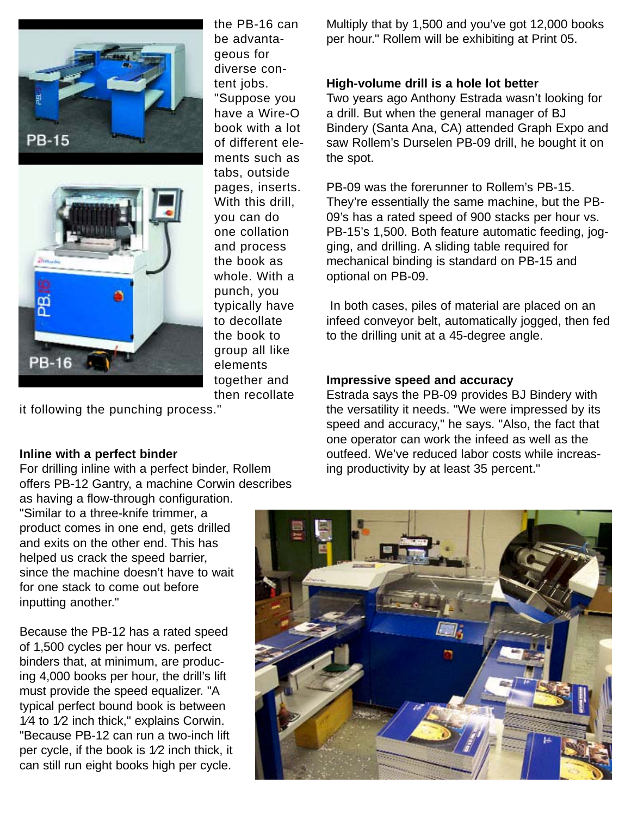

the PB-16 can be advantageous for diverse content jobs. "Suppose you have a Wire-O book with a lot of different elements such as tabs, outside pages, inserts. With this drill, you can do one collation and process the book as whole. With a punch, you typically have to decollate the book to group all like elements together and then recollate

it following the punching process."

### **Inline with a perfect binder**

**PB-16** 

For drilling inline with a perfect binder, Rollem offers PB-12 Gantry, a machine Corwin describes as having a flow-through configuration.

"Similar to a three-knife trimmer, a product comes in one end, gets drilled and exits on the other end. This has helped us crack the speed barrier, since the machine doesn't have to wait for one stack to come out before inputting another."

Because the PB-12 has a rated speed of 1,500 cycles per hour vs. perfect binders that, at minimum, are producing 4,000 books per hour, the drill's lift must provide the speed equalizer. "A typical perfect bound book is between 1⁄4 to 1⁄2 inch thick," explains Corwin. "Because PB-12 can run a two-inch lift per cycle, if the book is 1⁄2 inch thick, it can still run eight books high per cycle.

Multiply that by 1,500 and you've got 12,000 books per hour." Rollem will be exhibiting at Print 05.

#### **High-volume drill is a hole lot better**

Two years ago Anthony Estrada wasn't looking for a drill. But when the general manager of BJ Bindery (Santa Ana, CA) attended Graph Expo and saw Rollem's Durselen PB-09 drill, he bought it on the spot.

PB-09 was the forerunner to Rollem's PB-15. They're essentially the same machine, but the PB-09's has a rated speed of 900 stacks per hour vs. PB-15's 1,500. Both feature automatic feeding, jogging, and drilling. A sliding table required for mechanical binding is standard on PB-15 and optional on PB-09.

In both cases, piles of material are placed on an infeed conveyor belt, automatically jogged, then fed to the drilling unit at a 45-degree angle.

#### **Impressive speed and accuracy**

Estrada says the PB-09 provides BJ Bindery with the versatility it needs. "We were impressed by its speed and accuracy," he says. "Also, the fact that one operator can work the infeed as well as the outfeed. We've reduced labor costs while increasing productivity by at least 35 percent."